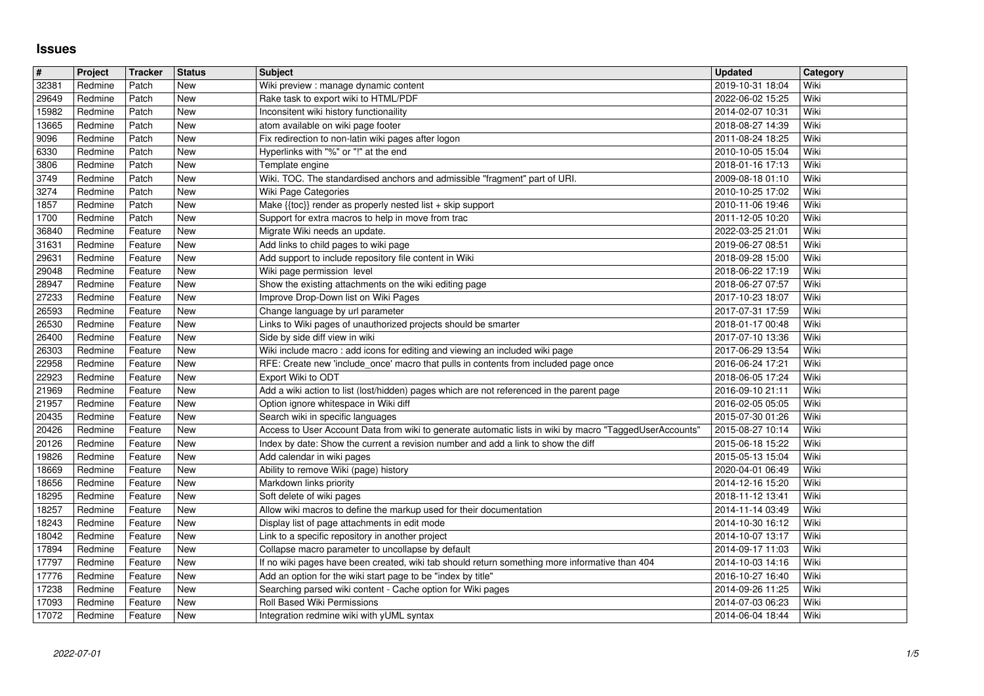## **Issues**

| $\overline{\boldsymbol{t}}$ | Project            | <b>Tracker</b>     | <b>Status</b> | <b>Subject</b>                                                                                                                     | <b>Updated</b>                       | Category     |
|-----------------------------|--------------------|--------------------|---------------|------------------------------------------------------------------------------------------------------------------------------------|--------------------------------------|--------------|
| 32381                       | Redmine            | Patch              | <b>New</b>    | Wiki preview : manage dynamic content                                                                                              | 2019-10-31 18:04                     | Wiki         |
| 29649<br>15982              | Redmine<br>Redmine | Patch<br>Patch     | New<br>New    | Rake task to export wiki to HTML/PDF<br>Inconsitent wiki history functionaility                                                    | 2022-06-02 15:25<br>2014-02-07 10:31 | Wiki<br>Wiki |
| 13665                       | Redmine            | Patch              | New           | atom available on wiki page footer                                                                                                 | 2018-08-27 14:39                     | Wiki         |
| 9096                        | Redmine            | Patch              | New           | Fix redirection to non-latin wiki pages after logon                                                                                | 2011-08-24 18:25                     | Wiki         |
| 6330                        | Redmine            | Patch              | New           | Hyperlinks with "%" or "!" at the end                                                                                              | 2010-10-05 15:04                     | Wiki         |
| 3806                        | Redmine            | Patch              | New           | Template engine                                                                                                                    | 2018-01-16 17:13                     | Wiki         |
| 3749<br>3274                | Redmine<br>Redmine | Patch<br>Patch     | New<br>New    | Wiki. TOC. The standardised anchors and admissible "fragment" part of URI.<br>Wiki Page Categories                                 | 2009-08-18 01:10<br>2010-10-25 17:02 | Wiki<br>Wiki |
| 1857                        | Redmine            | Patch              | New           | Make {{toc}} render as properly nested list + skip support                                                                         | 2010-11-06 19:46                     | Wiki         |
| 1700                        | Redmine            | Patch              | New           | Support for extra macros to help in move from trac                                                                                 | 2011-12-05 10:20                     | Wiki         |
| 36840                       | Redmine            | Feature            | New           | Migrate Wiki needs an update.                                                                                                      | 2022-03-25 21:01                     | Wiki         |
| 31631<br>29631              | Redmine<br>Redmine | Feature<br>Feature | New<br>New    | Add links to child pages to wiki page<br>Add support to include repository file content in Wiki                                    | 2019-06-27 08:51<br>2018-09-28 15:00 | Wiki<br>Wiki |
| 29048                       | Redmine            | Feature            | New           | Wiki page permission level                                                                                                         | 2018-06-22 17:19                     | Wiki         |
| 28947                       | Redmine            | Feature            | New           | Show the existing attachments on the wiki editing page                                                                             | 2018-06-27 07:57                     | Wiki         |
| 27233                       | Redmine            | Feature            | New           | Improve Drop-Down list on Wiki Pages                                                                                               | 2017-10-23 18:07                     | Wiki         |
| 26593                       | Redmine            | Feature            | New<br>New    | Change language by url parameter                                                                                                   | 2017-07-31 17:59                     | Wiki<br>Wiki |
| 26530<br>26400              | Redmine<br>Redmine | Feature<br>Feature | New           | Links to Wiki pages of unauthorized projects should be smarter<br>Side by side diff view in wiki                                   | 2018-01-17 00:48<br>2017-07-10 13:36 | Wiki         |
| 26303                       | Redmine            | Feature            | New           | Wiki include macro: add icons for editing and viewing an included wiki page                                                        | 2017-06-29 13:54                     | Wiki         |
| 22958                       | Redmine            | Feature            | New           | RFE: Create new 'include_once' macro that pulls in contents from included page once                                                | 2016-06-24 17:21                     | Wiki         |
| 22923                       | Redmine            | Feature            | New           | Export Wiki to ODT                                                                                                                 | 2018-06-05 17:24                     | Wiki         |
| 21969<br>21957              | Redmine<br>Redmine | Feature<br>Feature | New<br>New    | Add a wiki action to list (lost/hidden) pages which are not referenced in the parent page<br>Option ignore whitespace in Wiki diff | 2016-09-10 21:11<br>2016-02-05 05:05 | Wiki<br>Wiki |
| 20435                       | Redmine            | Feature            | New           | Search wiki in specific languages                                                                                                  | 2015-07-30 01:26                     | Wiki         |
| 20426                       | Redmine            | Feature            | New           | Access to User Account Data from wiki to generate automatic lists in wiki by macro "TaggedUserAccounts'                            | 2015-08-27 10:14                     | Wiki         |
| 20126                       | Redmine            | Feature            | <b>New</b>    | Index by date: Show the current a revision number and add a link to show the diff                                                  | 2015-06-18 15:22                     | Wiki         |
| 19826<br>18669              | Redmine<br>Redmine | Feature<br>Feature | New<br>New    | Add calendar in wiki pages<br>Ability to remove Wiki (page) history                                                                | 2015-05-13 15:04<br>2020-04-01 06:49 | Wiki<br>Wiki |
| 18656                       | Redmine            | Feature            | New           | Markdown links priority                                                                                                            | 2014-12-16 15:20                     | Wiki         |
| 18295                       | Redmine            | Feature            | New           | Soft delete of wiki pages                                                                                                          | 2018-11-12 13:41                     | Wiki         |
| 18257                       | Redmine            | Feature            | New           | Allow wiki macros to define the markup used for their documentation                                                                | 2014-11-14 03:49                     | Wiki         |
| 18243                       | Redmine            | Feature            | New           | Display list of page attachments in edit mode                                                                                      | 2014-10-30 16:12                     | Wiki         |
| 18042<br>17894              | Redmine<br>Redmine | Feature<br>Feature | New<br>New    | Link to a specific repository in another project<br>Collapse macro parameter to uncollapse by default                              | 2014-10-07 13:17<br>2014-09-17 11:03 | Wiki<br>Wiki |
| 17797                       | Redmine            | Feature            | New           | If no wiki pages have been created, wiki tab should return something more informative than 404                                     | 2014-10-03 14:16                     | Wiki         |
| 17776                       | Redmine            | Feature            | New           | Add an option for the wiki start page to be "index by title"                                                                       | 2016-10-27 16:40                     | Wiki         |
| 17238                       | Redmine            | Feature            | New           | Searching parsed wiki content - Cache option for Wiki pages                                                                        | 2014-09-26 11:25                     | Wiki         |
| 17093<br>17072              | Redmine<br>Redmine | Feature<br>Feature | New<br>New    | Roll Based Wiki Permissions<br>Integration redmine wiki with yUML syntax                                                           | 2014-07-03 06:23<br>2014-06-04 18:44 | Wiki<br>Wiki |
|                             |                    |                    |               |                                                                                                                                    |                                      |              |
|                             |                    |                    |               |                                                                                                                                    |                                      |              |
|                             |                    |                    |               |                                                                                                                                    |                                      |              |
|                             |                    |                    |               |                                                                                                                                    |                                      |              |
|                             |                    |                    |               |                                                                                                                                    |                                      |              |
|                             |                    |                    |               |                                                                                                                                    |                                      |              |
|                             |                    |                    |               |                                                                                                                                    |                                      |              |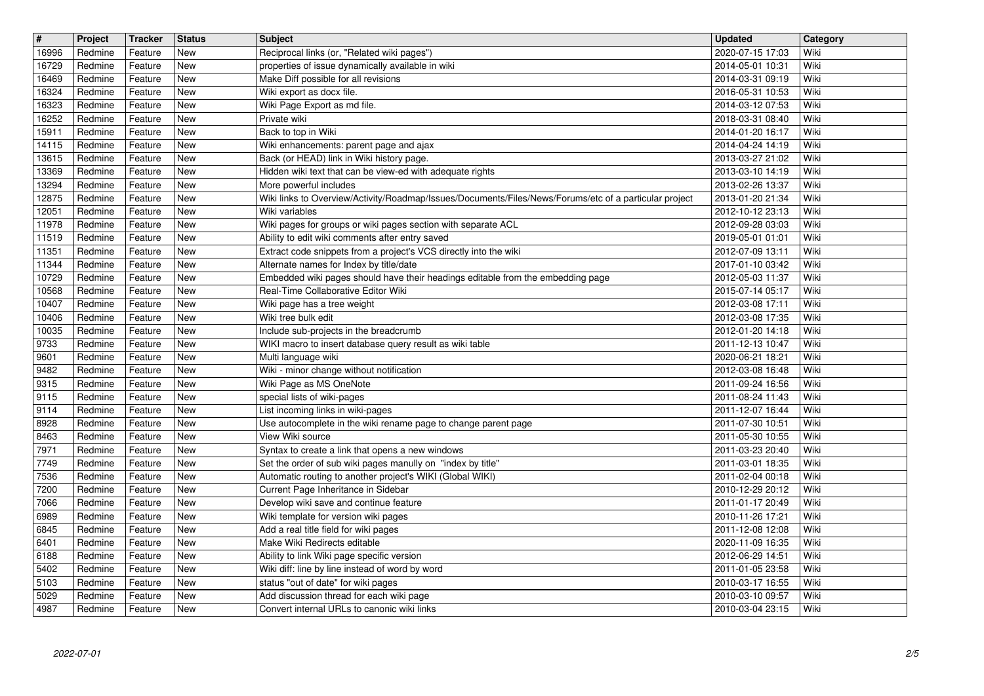| $\sqrt{t}$     | Project            | <b>Tracker</b>     | <b>Status</b>     | <b>Subject</b>                                                                                                                   | <b>Updated</b>                       | Category     |
|----------------|--------------------|--------------------|-------------------|----------------------------------------------------------------------------------------------------------------------------------|--------------------------------------|--------------|
| 16996<br>16729 | Redmine<br>Redmine | Feature<br>Feature | New<br>New        | Reciprocal links (or, "Related wiki pages")<br>properties of issue dynamically available in wiki                                 | 2020-07-15 17:03<br>2014-05-01 10:31 | Wiki<br>Wiki |
| 16469          | Redmine            | Feature            | New               | Make Diff possible for all revisions                                                                                             | 2014-03-31 09:19                     | Wiki         |
| 16324          | Redmine            | Feature            | New               | Wiki export as docx file.                                                                                                        | 2016-05-31 10:53                     | Wiki         |
| 16323<br>16252 | Redmine<br>Redmine | Feature<br>Feature | New<br>New        | Wiki Page Export as md file.<br>Private wiki                                                                                     | 2014-03-12 07:53<br>2018-03-31 08:40 | Wiki<br>Wiki |
| 15911          | Redmine            | Feature            | New               | Back to top in Wiki                                                                                                              | 2014-01-20 16:17                     | Wiki         |
| 14115<br>13615 | Redmine<br>Redmine | Feature<br>Feature | New<br>New        | Wiki enhancements: parent page and ajax<br>Back (or HEAD) link in Wiki history page.                                             | 2014-04-24 14:19<br>2013-03-27 21:02 | Wiki<br>Wiki |
| 13369          | Redmine            | Feature            | New               | Hidden wiki text that can be view-ed with adequate rights                                                                        | 2013-03-10 14:19                     | Wiki         |
| 13294<br>12875 | Redmine<br>Redmine | Feature<br>Feature | <b>New</b><br>New | More powerful includes<br>Wiki links to Overview/Activity/Roadmap/Issues/Documents/Files/News/Forums/etc of a particular project | 2013-02-26 13:37<br>2013-01-20 21:34 | Wiki<br>Wiki |
| 12051          | Redmine            | Feature            | New               | Wiki variables                                                                                                                   | 2012-10-12 23:13                     | Wiki         |
| 11978<br>11519 | Redmine<br>Redmine | Feature<br>Feature | New<br>New        | Wiki pages for groups or wiki pages section with separate ACL<br>Ability to edit wiki comments after entry saved                 | 2012-09-28 03:03<br>2019-05-01 01:01 | Wiki<br>Wiki |
| 11351          | Redmine            | Feature            | New               | Extract code snippets from a project's VCS directly into the wiki                                                                | 2012-07-09 13:11                     | Wiki         |
| 11344<br>10729 | Redmine<br>Redmine | Feature<br>Feature | New<br>New        | Alternate names for Index by title/date<br>Embedded wiki pages should have their headings editable from the embedding page       | 2017-01-10 03:42<br>2012-05-03 11:37 | Wiki<br>Wiki |
| 10568          | Redmine            | Feature            | New               | Real-Time Collaborative Editor Wiki                                                                                              | 2015-07-14 05:17                     | Wiki         |
| 10407<br>10406 | Redmine<br>Redmine | Feature<br>Feature | New<br>New        | Wiki page has a tree weight<br>Wiki tree bulk edit                                                                               | 2012-03-08 17:11<br>2012-03-08 17:35 | Wiki<br>Wiki |
| 10035          | Redmine            | Feature            | New               | Include sub-projects in the breadcrumb                                                                                           | 2012-01-20 14:18                     | Wiki         |
| 9733           | Redmine            | Feature            | <b>New</b>        | WIKI macro to insert database query result as wiki table                                                                         | 2011-12-13 10:47                     | Wiki         |
| 9601<br>9482   | Redmine<br>Redmine | Feature<br>Feature | New<br>New        | Multi language wiki<br>Wiki - minor change without notification                                                                  | 2020-06-21 18:21<br>2012-03-08 16:48 | Wiki<br>Wiki |
| 9315           | Redmine            | Feature            | New               | Wiki Page as MS OneNote                                                                                                          | 2011-09-24 16:56                     | Wiki         |
| 9115<br>9114   | Redmine<br>Redmine | Feature<br>Feature | New<br>New        | special lists of wiki-pages<br>List incoming links in wiki-pages                                                                 | 2011-08-24 11:43<br>2011-12-07 16:44 | Wiki<br>Wiki |
| 8928           | Redmine            | Feature            | New               | Use autocomplete in the wiki rename page to change parent page                                                                   | 2011-07-30 10:51                     | Wiki         |
| 8463<br>7971   | Redmine<br>Redmine | Feature<br>Feature | New<br>New        | View Wiki source<br>Syntax to create a link that opens a new windows                                                             | 2011-05-30 10:55<br>2011-03-23 20:40 | Wiki<br>Wiki |
| 7749           | Redmine            | Feature            | New               | Set the order of sub wiki pages manully on "index by title"                                                                      | 2011-03-01 18:35                     | Wiki         |
| 7536<br>7200   | Redmine<br>Redmine | Feature<br>Feature | New<br><b>New</b> | Automatic routing to another project's WIKI (Global WIKI)<br>Current Page Inheritance in Sidebar                                 | 2011-02-04 00:18<br>2010-12-29 20:12 | Wiki<br>Wiki |
| 7066           | Redmine            | Feature            | New               | Develop wiki save and continue feature                                                                                           | 2011-01-17 20:49                     | Wiki         |
| 6989           | Redmine            | Feature            | New               | Wiki template for version wiki pages                                                                                             | 2010-11-26 17:21                     | Wiki         |
| 6845<br>6401   | Redmine<br>Redmine | Feature<br>Feature | New<br>New        | Add a real title field for wiki pages<br>Make Wiki Redirects editable                                                            | 2011-12-08 12:08<br>2020-11-09 16:35 | Wiki<br>Wiki |
| 6188           | Redmine            | Feature            | New               | Ability to link Wiki page specific version                                                                                       | 2012-06-29 14:51                     | Wiki         |
| 5402<br>5103   | Redmine<br>Redmine | Feature<br>Feature | New<br>New        | Wiki diff: line by line instead of word by word<br>status "out of date" for wiki pages                                           | 2011-01-05 23:58<br>2010-03-17 16:55 | Wiki<br>Wiki |
| 5029<br>4987   | Redmine<br>Redmine | Feature<br>Feature | New<br>New        | Add discussion thread for each wiki page<br>Convert internal URLs to canonic wiki links                                          | 2010-03-10 09:57<br>2010-03-04 23:15 | Wiki<br>Wiki |
|                |                    |                    |                   |                                                                                                                                  |                                      |              |
|                |                    |                    |                   |                                                                                                                                  |                                      |              |
|                |                    |                    |                   |                                                                                                                                  |                                      |              |
|                |                    |                    |                   |                                                                                                                                  |                                      |              |
|                |                    |                    |                   |                                                                                                                                  |                                      |              |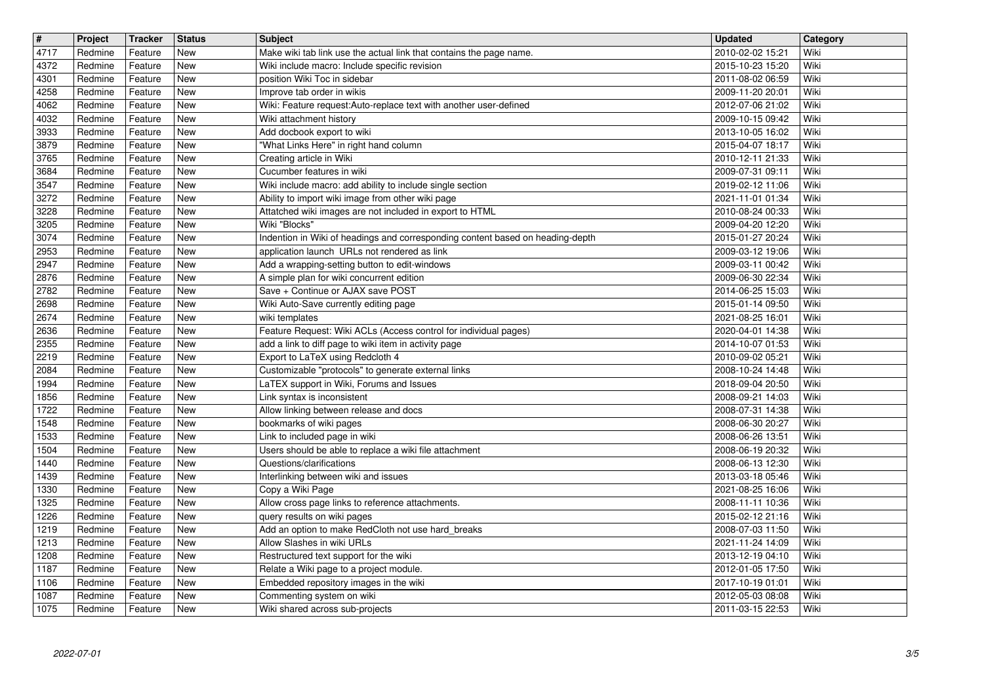| $\overline{\mathbf{t}}$<br>4717 | Project<br>Redmine | Tracker<br>Feature | <b>Status</b><br><b>New</b> | <b>Subject</b><br>Make wiki tab link use the actual link that contains the page name.                                     | <b>Updated</b><br>2010-02-02 15:21   | Category<br>Wiki |
|---------------------------------|--------------------|--------------------|-----------------------------|---------------------------------------------------------------------------------------------------------------------------|--------------------------------------|------------------|
| 4372                            | Redmine            | Feature            | <b>New</b>                  | Wiki include macro: Include specific revision                                                                             | 2015-10-23 15:20                     | Wiki             |
| 4301<br>4258                    | Redmine<br>Redmine | Feature<br>Feature | <b>New</b><br><b>New</b>    | position Wiki Toc in sidebar<br>Improve tab order in wikis                                                                | 2011-08-02 06:59<br>2009-11-20 20:01 | Wiki<br>Wiki     |
| 4062                            | Redmine            | Feature            | <b>New</b>                  | Wiki: Feature request: Auto-replace text with another user-defined                                                        | 2012-07-06 21:02                     | Wiki             |
| 4032<br>3933                    | Redmine<br>Redmine | Feature<br>Feature | <b>New</b><br><b>New</b>    | Wiki attachment history<br>Add docbook export to wiki                                                                     | 2009-10-15 09:42<br>2013-10-05 16:02 | Wiki<br>Wiki     |
| 3879<br>3765                    | Redmine<br>Redmine | Feature<br>Feature | New<br>New                  | "What Links Here" in right hand column<br>Creating article in Wiki                                                        | 2015-04-07 18:17<br>2010-12-11 21:33 | Wiki<br>Wiki     |
| 3684                            | Redmine            | Feature            | New                         | Cucumber features in wiki                                                                                                 | 2009-07-31 09:11                     | Wiki             |
| 3547<br>3272                    | Redmine<br>Redmine | Feature<br>Feature | <b>New</b><br><b>New</b>    | Wiki include macro: add ability to include single section<br>Ability to import wiki image from other wiki page            | 2019-02-12 11:06<br>2021-11-01 01:34 | Wiki<br>Wiki     |
| 3228                            | Redmine            | Feature            | <b>New</b>                  | Attatched wiki images are not included in export to HTML                                                                  | 2010-08-24 00:33                     | Wiki             |
| 3205<br>3074                    | Redmine<br>Redmine | Feature<br>Feature | <b>New</b><br><b>New</b>    | Wiki "Blocks"<br>Indention in Wiki of headings and corresponding content based on heading-depth                           | 2009-04-20 12:20<br>2015-01-27 20:24 | Wiki<br>Wiki     |
| 2953<br>2947                    | Redmine<br>Redmine | Feature<br>Feature | <b>New</b><br><b>New</b>    | application launch URLs not rendered as link<br>Add a wrapping-setting button to edit-windows                             | 2009-03-12 19:06<br>2009-03-11 00:42 | Wiki<br>Wiki     |
| 2876                            | Redmine            | Feature            | New                         | A simple plan for wiki concurrent edition                                                                                 | 2009-06-30 22:34                     | Wiki             |
| 2782<br>2698                    | Redmine<br>Redmine | Feature<br>Feature | New<br><b>New</b>           | Save + Continue or AJAX save POST<br>Wiki Auto-Save currently editing page                                                | 2014-06-25 15:03<br>2015-01-14 09:50 | Wiki<br>Wiki     |
| 2674                            | Redmine            | Feature            | <b>New</b>                  | wiki templates                                                                                                            | 2021-08-25 16:01                     | Wiki             |
| 2636<br>2355                    | Redmine<br>Redmine | Feature<br>Feature | <b>New</b><br><b>New</b>    | Feature Request: Wiki ACLs (Access control for individual pages)<br>add a link to diff page to wiki item in activity page | 2020-04-01 14:38<br>2014-10-07 01:53 | Wiki<br>Wiki     |
| 2219<br>2084                    | Redmine<br>Redmine | Feature<br>Feature | <b>New</b><br>New           | Export to LaTeX using Redcloth 4<br>Customizable "protocols" to generate external links                                   | 2010-09-02 05:21<br>2008-10-24 14:48 | Wiki<br>Wiki     |
| 1994                            | Redmine            | Feature            | New                         | LaTEX support in Wiki, Forums and Issues                                                                                  | 2018-09-04 20:50                     | Wiki             |
| 1856<br>1722                    | Redmine<br>Redmine | Feature<br>Feature | New<br><b>New</b>           | Link syntax is inconsistent<br>Allow linking between release and docs                                                     | 2008-09-21 14:03<br>2008-07-31 14:38 | Wiki<br>Wiki     |
| 1548                            | Redmine            | Feature            | <b>New</b>                  | bookmarks of wiki pages                                                                                                   | 2008-06-30 20:27                     | Wiki             |
| 1533<br>1504                    | Redmine<br>Redmine | Feature<br>Feature | <b>New</b><br><b>New</b>    | Link to included page in wiki<br>Users should be able to replace a wiki file attachment                                   | 2008-06-26 13:51<br>2008-06-19 20:32 | Wiki<br>Wiki     |
| 1440                            | Redmine            | Feature            | <b>New</b>                  | Questions/clarifications                                                                                                  | 2008-06-13 12:30                     | Wiki             |
| 1439<br>1330                    | Redmine<br>Redmine | Feature<br>Feature | <b>New</b><br><b>New</b>    | Interlinking between wiki and issues<br>Copy a Wiki Page                                                                  | 2013-03-18 05:46<br>2021-08-25 16:06 | Wiki<br>Wiki     |
| 1325<br>1226                    | Redmine<br>Redmine | Feature<br>Feature | New<br>New                  | Allow cross page links to reference attachments.<br>query results on wiki pages                                           | 2008-11-11 10:36<br>2015-02-12 21:16 | Wiki<br>Wiki     |
| 1219                            | Redmine            | Feature            | New                         | Add an option to make RedCloth not use hard_breaks                                                                        | 2008-07-03 11:50                     | Wiki             |
| 1213<br>1208                    | Redmine<br>Redmine | Feature<br>Feature | <b>New</b><br>New           | Allow Slashes in wiki URLs<br>Restructured text support for the wiki                                                      | 2021-11-24 14:09<br>2013-12-19 04:10 | Wiki<br>Wiki     |
| 1187                            | Redmine            | Feature            | New                         | Relate a Wiki page to a project module.                                                                                   | 2012-01-05 17:50                     | Wiki             |
| 1106<br>1087                    | Redmine<br>Redmine | Feature<br>Feature | New<br>New                  | Embedded repository images in the wiki<br>Commenting system on wiki                                                       | 2017-10-19 01:01<br>2012-05-03 08:08 | Wiki<br>Wiki     |
| 1075                            | Redmine            | Feature            | New                         | Wiki shared across sub-projects                                                                                           | 2011-03-15 22:53                     | Wiki             |
|                                 |                    |                    |                             |                                                                                                                           |                                      |                  |
|                                 |                    |                    |                             |                                                                                                                           |                                      |                  |
|                                 |                    |                    |                             |                                                                                                                           |                                      |                  |
|                                 |                    |                    |                             |                                                                                                                           |                                      |                  |
|                                 |                    |                    |                             |                                                                                                                           |                                      |                  |
|                                 |                    |                    |                             |                                                                                                                           |                                      |                  |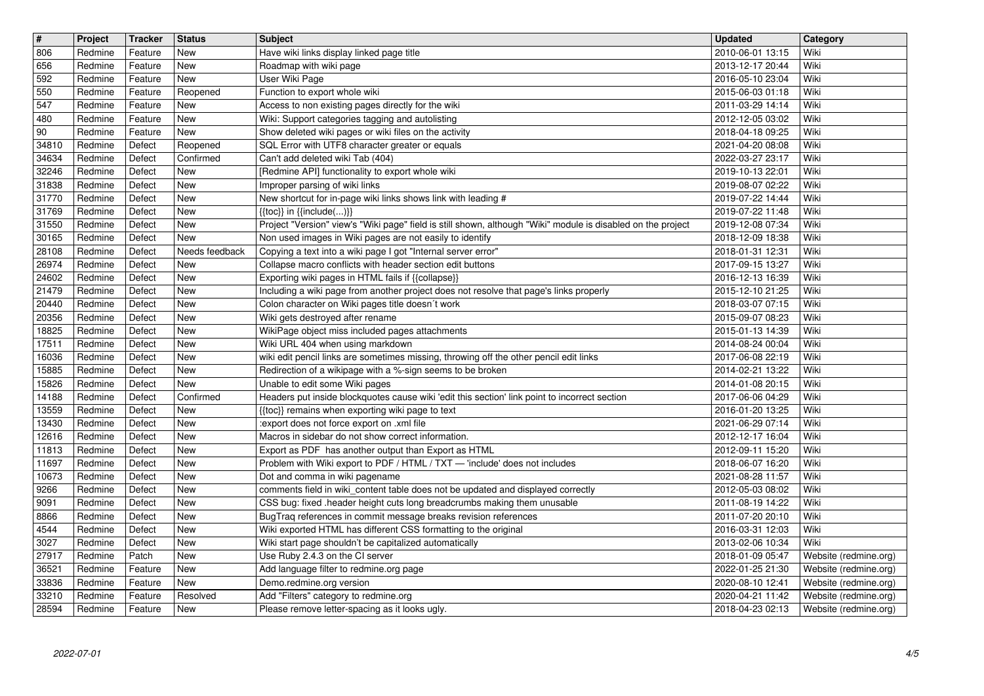| $\boxed{\texttt{#}}$ | Project            | <b>Tracker</b>     | <b>Status</b>            | Subject                                                                                                                                                                  | <b>Updated</b>                       | Category                                       |
|----------------------|--------------------|--------------------|--------------------------|--------------------------------------------------------------------------------------------------------------------------------------------------------------------------|--------------------------------------|------------------------------------------------|
| 806<br>656           | Redmine<br>Redmine | Feature<br>Feature | New<br>New               | Have wiki links display linked page title<br>Roadmap with wiki page                                                                                                      | 2010-06-01 13:15<br>2013-12-17 20:44 | Wiki<br>Wiki                                   |
| 592                  | Redmine            | Feature            | New                      | User Wiki Page                                                                                                                                                           | 2016-05-10 23:04                     | Wiki                                           |
| 550<br>547           | Redmine<br>Redmine | Feature<br>Feature | Reopened<br>New          | Function to export whole wiki<br>Access to non existing pages directly for the wiki                                                                                      | 2015-06-03 01:18<br>2011-03-29 14:14 | Wiki<br>Wiki                                   |
| 480                  | Redmine            | Feature            | New                      | Wiki: Support categories tagging and autolisting                                                                                                                         | 2012-12-05 03:02                     | Wiki                                           |
| 90<br>34810          | Redmine<br>Redmine | Feature<br>Defect  | New<br>Reopened          | Show deleted wiki pages or wiki files on the activity<br>SQL Error with UTF8 character greater or equals                                                                 | 2018-04-18 09:25<br>2021-04-20 08:08 | Wiki<br>Wiki                                   |
| 34634                | Redmine            | Defect             | Confirmed                | Can't add deleted wiki Tab (404)                                                                                                                                         | 2022-03-27 23:17                     | Wiki                                           |
| 32246<br>31838       | Redmine            | Defect             | <b>New</b><br><b>New</b> | [Redmine API] functionality to export whole wiki<br>Improper parsing of wiki links                                                                                       | 2019-10-13 22:01                     | Wiki<br>Wiki                                   |
| 31770                | Redmine<br>Redmine | Defect<br>Defect   | New                      | New shortcut for in-page wiki links shows link with leading #                                                                                                            | 2019-08-07 02:22<br>2019-07-22 14:44 | Wiki                                           |
| 31769                | Redmine            | Defect             | <b>New</b>               | $\{\{\textsf{toc}\}\}\$ in $\{\{\textsf{include}()\}\}$                                                                                                                  | 2019-07-22 11:48                     | Wiki                                           |
| 31550<br>30165       | Redmine<br>Redmine | Defect<br>Defect   | New<br>New               | Project "Version" view's "Wiki page" field is still shown, although "Wiki" module is disabled on the project<br>Non used images in Wiki pages are not easily to identify | 2019-12-08 07:34<br>2018-12-09 18:38 | Wiki<br>Wiki                                   |
| 28108                | Redmine            | Defect             | Needs feedback           | Copying a text into a wiki page I got "Internal server error"                                                                                                            | 2018-01-31 12:31                     | Wiki                                           |
| 26974<br>24602       | Redmine<br>Redmine | Defect<br>Defect   | New<br>New               | Collapse macro conflicts with header section edit buttons<br>Exporting wiki pages in HTML fails if {{collapse}}                                                          | 2017-09-15 13:27<br>2016-12-13 16:39 | Wiki<br>Wiki                                   |
| 21479                | Redmine            | Defect             | <b>New</b>               | Including a wiki page from another project does not resolve that page's links properly                                                                                   | 2015-12-10 21:25                     | Wiki                                           |
| 20440<br>20356       | Redmine<br>Redmine | Defect<br>Defect   | <b>New</b><br><b>New</b> | Colon character on Wiki pages title doesn't work<br>Wiki gets destroyed after rename                                                                                     | 2018-03-07 07:15<br>2015-09-07 08:23 | Wiki<br>Wiki                                   |
| 18825                | Redmine            | Defect             | <b>New</b>               | WikiPage object miss included pages attachments                                                                                                                          | 2015-01-13 14:39                     | Wiki                                           |
| 17511<br>16036       | Redmine<br>Redmine | Defect<br>Defect   | New<br>New               | Wiki URL 404 when using markdown<br>wiki edit pencil links are sometimes missing, throwing off the other pencil edit links                                               | 2014-08-24 00:04<br>2017-06-08 22:19 | Wiki<br>Wiki                                   |
| 15885                | Redmine            | Defect             | New                      | Redirection of a wikipage with a %-sign seems to be broken                                                                                                               | 2014-02-21 13:22                     | Wiki                                           |
| 15826<br>14188       | Redmine<br>Redmine | Defect<br>Defect   | New<br>Confirmed         | Unable to edit some Wiki pages<br>Headers put inside blockquotes cause wiki 'edit this section' link point to incorrect section                                          | 2014-01-08 20:15<br>2017-06-06 04:29 | Wiki<br>Wiki                                   |
| 13559                | Redmine            | Defect             | New                      | {{toc}} remains when exporting wiki page to text                                                                                                                         | 2016-01-20 13:25                     | Wiki                                           |
| 13430                | Redmine            | Defect             | <b>New</b><br><b>New</b> | :export does not force export on .xml file                                                                                                                               | 2021-06-29 07:14                     | Wiki<br>Wiki                                   |
| 12616<br>11813       | Redmine<br>Redmine | Defect<br>Defect   | New                      | Macros in sidebar do not show correct information.<br>Export as PDF has another output than Export as HTML                                                               | 2012-12-17 16:04<br>2012-09-11 15:20 | Wiki                                           |
| 11697                | Redmine            | Defect             | New                      | Problem with Wiki export to PDF / HTML / TXT - 'include' does not includes                                                                                               | 2018-06-07 16:20                     | Wiki                                           |
| 10673<br>9266        | Redmine<br>Redmine | Defect<br>Defect   | New<br>New               | Dot and comma in wiki pagename<br>comments field in wiki_content table does not be updated and displayed correctly                                                       | 2021-08-28 11:57<br>2012-05-03 08:02 | Wiki<br>Wiki                                   |
| 9091                 | Redmine            | Defect             | New                      | CSS bug: fixed .header height cuts long breadcrumbs making them unusable                                                                                                 | 2011-08-19 14:22                     | Wiki                                           |
| 8866<br>4544         | Redmine<br>Redmine | Defect<br>Defect   | New<br>New               | BugTraq references in commit message breaks revision references<br>Wiki exported HTML has different CSS formatting to the original                                       | 2011-07-20 20:10<br>2016-03-31 12:03 | Wiki<br>Wiki                                   |
| 3027                 | Redmine            | Defect             | New                      | Wiki start page shouldn't be capitalized automatically                                                                                                                   | 2013-02-06 10:34                     | Wiki                                           |
| 27917<br>36521       | Redmine<br>Redmine | Patch<br>Feature   | New<br>New               | Use Ruby 2.4.3 on the CI server<br>Add language filter to redmine.org page                                                                                               | 2018-01-09 05:47<br>2022-01-25 21:30 | Website (redmine.org)<br>Website (redmine.org) |
| 33836                | Redmine            | Feature            | New                      | Demo.redmine.org version                                                                                                                                                 | 2020-08-10 12:41                     | Website (redmine.org)                          |
| 33210<br>28594       | Redmine<br>Redmine | Feature<br>Feature | Resolved<br>New          | Add "Filters" category to redmine.org<br>Please remove letter-spacing as it looks ugly.                                                                                  | 2020-04-21 11:42<br>2018-04-23 02:13 | Website (redmine.org)<br>Website (redmine.org) |
|                      |                    |                    |                          |                                                                                                                                                                          |                                      |                                                |
|                      |                    |                    |                          |                                                                                                                                                                          |                                      |                                                |
|                      |                    |                    |                          |                                                                                                                                                                          |                                      |                                                |
|                      |                    |                    |                          |                                                                                                                                                                          |                                      |                                                |
|                      |                    |                    |                          |                                                                                                                                                                          |                                      |                                                |
|                      |                    |                    |                          |                                                                                                                                                                          |                                      |                                                |
|                      |                    |                    |                          |                                                                                                                                                                          |                                      |                                                |